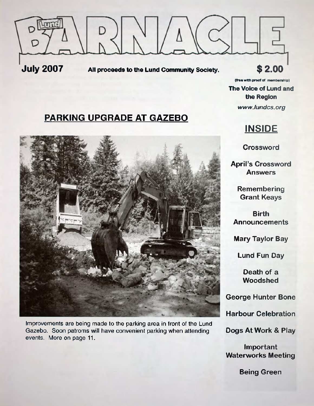

(free with proof of membership).

**The Voice of Lund and the Region** *www. lundcs. org*

## **PARKING UPGRADE AT GAZEBO**



Improvements are being made to the parking area in front of the Lund Gazebo. Soon patroms will have convenient parking when attending events. More on page 11.

# **INSIDE**

**Crossword**

**April's Crossword Answers**

> **Remembering Grant Keays**

**Birth Announcements**

**Mary Taylor Bay**

**Lund Fun Day**

**Death of a Woodshed**

**George Hunter Bone**

**Harbour Celebration**

**Dogs At Work & Play**

**Important Waterworks Meeting**

**Being Green**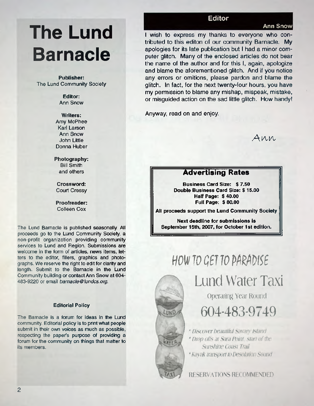# **The Lund Barnacle**

#### **Publisher:** The Lund Community Society

**Editor:** Ann Snow

#### **Writers:**

Amy McPhee Karl Larson Ann Snow John Little Donna Huber

#### **Photography:** Bill Smith and others

**Crossword:** Court Cressy

**Proofreader:** Colleen Cox

The Lund Barnacle is published seasonally. All proceeds go to the Lund Community Society, a non-profit organization providing community services to Lund and Region. Submissions are welcome in the form of articles, news items, letters to the editor, fillers, graphics and photographs. We reserve the right to edit for clarity and length. Submit to the Barnacle in the Lund Community building or contact Ann Snow at 604- 483-9220 or email *[barnacle@lundcs.org](mailto:barnacle@lundcs.org).*

#### **Editorial Policy**

The Barnacle is a forum for ideas in the Lund community. Editorial policy is to print what people submit in their own voices as much as possible, respecting the papers purpose of providing a forum for the community on things that matter to its members.

### **Editor**

#### **Ann Snow**

I wish to express my thanks to everyone who contributed to this editon of our community Barnacle. My apologies for its late publication but I had a minor computer glitch. Many of the enclosed articles do not bear the name of the author and for this I, again, apologize and blame the aforementioned glitch. And if you notice any errors or omitions, please pardon and blame the glitch. In fact, for the next twenty-four hours, you have my permission to blame any mishap, mispeak, mistake, or misguided action on the sad little glitch. How handy!

Anyway, read on and enjoy.

*A n n*

## Advertising Rates

**Business Card Size: \$ 7.50 Double Business Card Size: \$ 15.00 Half Page: \$40.00 Full Page: \$ 80.00**

**All proceeds support the Lund Community Society**

**Next deadline for submissions is September 15th, 2007, for October 1st edition.**

# **HOW TO GET TO PARADISE**



Lund Water Taxi **Operating Year Round**

604**-**483-9749

\* *Discover beautiful Savar}' Island \* Drop offs at Sara Point, start of the Sunshine Coast Trail \* Kayak transport to Desolation Sound*

**RESERVATIONS RECOMMENDED**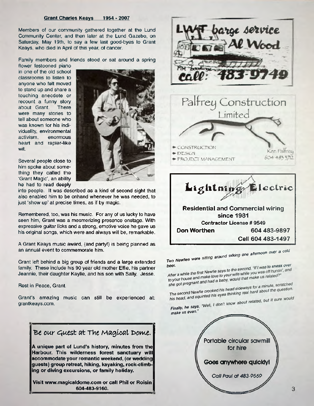#### **Grant Charles Keays 1954 - 2007**

Members of our community gathered together at the Lund Community Center, and then later at the Lund Gazebo, on Saturday, May 19th, to say a few last good-byes to Grant Keays, who died in April of this year, of cancer.

Family members and friends stood or sat around a spring

flower festooned piano in one of the old school classrooms to listen to anyone who felt moved to stand up and share a touching anecdote or recount a funny story about Grant. There were many stories to tell about someone who was known for his individuality, environmental activism, enormous heart and rapier-like wit.



Several people close to him spoke about something they called the 'Grant Magic', an ability he had to read deeply

into people. It was described as a kind of second sight that also enabled him to be onhand whenever he was needed, to just 'show up' at precise times, as if by magic.

Remembered, too, was his music. For any of us lucky to have seen him, Grant was a mesmerizing presence onstage. With expressive guitar licks and a strong, emotive voice he gave us his original songs, which were and always will be, remarkable.

A Grant Keays music award, (and party!) is being planned as an annual event to commemorate him.

Grant left behind a big group of friends and a large extended family. These include his 90 year old mother Effie, his partner Jeannie, their daughter Kaylie, and his son with Sally, Jesse.

Rest in Peace, Grant.

Grant's amazing music can still be experienced at: grantkeays.com.









*. Iaikjn" one afternoon over a cold*

*Two Newfles were share* 

beer.<br>After a while the first Newfie says to the second, "If I was to sneak over<br>to your house and make love to your wife while you was off huntin', and After a while the first Newlie says of the while you was off hat<br>to your house and make love to your wife while you was off intend?"<br>she got pregnant and had a baby, would that make us related?"

she got pregnant and had a baby, wood that<br>The second Newfie crooked his head sideways for a minute, scratched<br>The second Newfie crooked his head sideways for a minute, scratched<br>and squinted his eyes thinking real hard ab The second Newfie crooked his head sideways for a minute, scratched<br>The second Newfie crooked his head sideways for a minute, scratched<br>his head, and squinted his eyes thinking real hard about the question.

Finally, he says, "Well, I don't know about related, but it sure would

*make us even.*

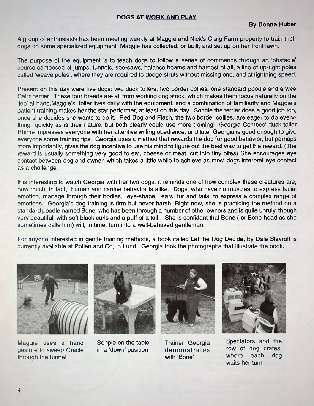#### **DOGS AT WORK AND PLAY**

A group of enthusiasts has been meeting weekly at Maggie and Nick's Craig Farm property to train their dogs on some specialized equipment Maggie has collected, or built, and set up on her front lawn.

The purpose of the equipment is to teach dogs to follow a series of commands through an 'obstacle' course composed of jumps, tunnels, see-saws, balance beams and hardest of all, a line of up-right poles called 'weave poles', where they are required to dodge struts without missing one, and at lightning speed.

Present on this day were five dogs: two duck tollers, two border collies, one standard poodle and a wee Cairn terrier. These four breeds are all from working dog stock, which makes them focus naturally on the 'job' at hand.Maggie's toller lives daily with the equipment, and a combination of familiarity and Maggie's patient training makes her the star performer, at least on this day. Sophie the terrier does a good job too, once she decides she wants to do it. Red Dog and Flash, the two border collies, are eager to do everything quickly as is their nature, but both clearly could use more training! Georgia Combes' duck toller Rhime impresses everyone with her attentive willing obedience, and later Georgia is good enough to give everyone some training tips. Georgia uses a method that rewards the dog for good behavior, but perhaps more importantly, gives the dog incentive to use his mind to figure out the best way to get the reward. (The reward is usually something very good to eat, cheese or meat, cut into tiny bites) She encourages eye contact between dog and owner, which takes a little while to achieve as most dogs interpret eye contact as a challenge.

It is interesting to watch Georgia with her two dogs; it reminds one of how complex these creatures are, how much, in fact, human and canine behavior is alike. Dogs, who have no muscles to express facial emotion, manage through their bodies, eye-shape, ears, fur and tails, to express a complex range of emotions. Georgia's dog training is firm but never harsh. Right now, she is practicing the method on a standard poodle named Bone, who has been through a number of other owners and is quite unruly, though very beautiful, with soft black curls and a puff of a tail. She is confidant that Bone ( or Bone-head as she sometimes calls him) will, in time, turn into a well-behaved gentleman.

For anyone interested in gentle training methods, a book called Let the Dog Decide, by Dale Stavroff is currently available at Pollen and Co, in Lund. Georgia took the photographs that illustrate the book.



Maggie uses a hand Sohpie on the table gesture to sweep Gracie in a 'down' position through the tunnel





Trainer Georgia de monstrates with 'Bone'



Spectators and the row of dog crates, where each dog waits her turn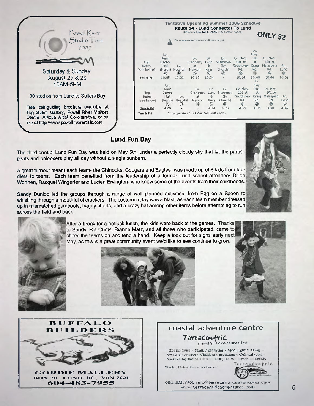| Powell River<br>Studio Tour                                                                                                                                                   | <b>Tentative Upcoming Summer 2006 Schedule</b><br>Route 14 - Lund Connector To Lund<br>Effective Tue Jul 4, 2006 until further notice).<br>The summer transit service is effective lifty 4 |                                                              |                                          |                                                     |                                             | ONLY \$2                               |                                                           |                                           |                                               |                  |
|-------------------------------------------------------------------------------------------------------------------------------------------------------------------------------|--------------------------------------------------------------------------------------------------------------------------------------------------------------------------------------------|--------------------------------------------------------------|------------------------------------------|-----------------------------------------------------|---------------------------------------------|----------------------------------------|-----------------------------------------------------------|-------------------------------------------|-----------------------------------------------|------------------|
| 2007<br>Saturday & Sunday                                                                                                                                                     | Trip<br><b>Notes</b><br>(see below).                                                                                                                                                       | Lv.<br><b>Town</b><br>Centre.<br>Mall<br>$\langle n \rangle$ | Lv.<br>(North) Hospital<br>$\circledast$ | Lv.<br>Cranberry<br>at.<br>Manson<br>$\circledcirc$ | Lv.<br>Lund<br>$\mathbf{g}_i$<br>King<br>O) | Lv.<br>Sliammon<br>(by<br>Church)<br>◎ | Ly, Hwy,<br>$101$ at<br>Southview<br>Rd.<br>$\circledast$ | Lv.<br>Hwy.<br>101<br>at.<br>Craig<br>Rd. | Ly, Hwy,<br>$101$ at<br>Malaspina<br>Rd.<br>⇔ | Aг.<br>Lund<br>⑩ |
| August 25 & 26<br>10AM-5PM                                                                                                                                                    | <b>Tue &amp; Fri</b>                                                                                                                                                                       | 10:05<br>Lv.                                                 | 10:03                                    | 10:15                                               | 10:24                                       |                                        | 10:34                                                     | 10:40<br>Lv.<br>Hwy.                      | 10:46<br>Lv. Hwy.                             | 10:52            |
| 30 studios from Lund to Saltery Bay                                                                                                                                           | <b>Trip</b><br><b>Notes</b><br>(see below)                                                                                                                                                 | Town<br>Centre<br>Mall<br>(North)                            | Lv.<br>Hospital                          | Lv.<br>Cranberry<br>at<br>Manson<br>O)              | Lv.<br>Lund<br>8 <sub>i</sub><br>King       | Lv.<br>Sliammon<br>(by<br>Church)      | Lv. Hwy.<br>101at<br>Southview<br>Rd.<br>ଈ                | 101<br>3t<br>Craig<br>Rd.<br>❀            | $101$ at<br>Malaspina<br>Rd.<br>⋒             | Aг.<br>Lund<br>⊕ |
| Free self-guiding brochure available at<br>Tug Guhm Gallery, Powell River Visitors<br>Centre, Artique Artist Co-operative, or on<br>line at http://www.powellriverartists.com | Tue & Fri<br>Tue & Fri                                                                                                                                                                     | ◉<br>4:05                                                    | ₩                                        | Trips operate on Tuesday and Friday only.           | $^{\circ}$<br>4:14                          | ⊙<br>4:23                              | 4:29                                                      | 4:35                                      | 4:41                                          | 4:47             |
|                                                                                                                                                                               |                                                                                                                                                                                            |                                                              |                                          |                                                     |                                             |                                        |                                                           |                                           |                                               |                  |

#### **Lund Fun Day**

The third annual Lund Fun Day was held on May 5th, under a perfectly cloudy sky that let the participants and onlookers play all day without a single sunburn.

A great turnout meant each team- the Chinooks, Cougars and Eagles- was made up of 8 kids from toddlers to teens. Each team benefited from the leadership of a former Lund school attendee- Dillon Worthen, Racquel Wingerter and Lucien Ervington- who knew some of the events from their childhoods.

Sandy Dunlop led the groups through a range of well planned activities, from Egg on a Spoon to whistling through a mouthful of crackers. The costume relay was a blast, as each team member dressed up in mismatched gumboots, baggy shorts, and a crazy hat among other items before attempting to run across the field and back.

> After a break for a potluck lunch, the kids were back at the games. Thanks to Sandy, Ria Curtis, Rianne Matz, and all those who participated, came to cheer the teams on and lend a hand. Keep a look out for signs early next May, as this is a great community event we'd like to see continue to grow.







GORDIE MALLERY **B O X 7 0 , L U N D , B C , V O N** *2 G O* **6 0 4 - 4 8 3 - 7 9 5 5**



**wvuw Tierracenii1cadvencures.com 5**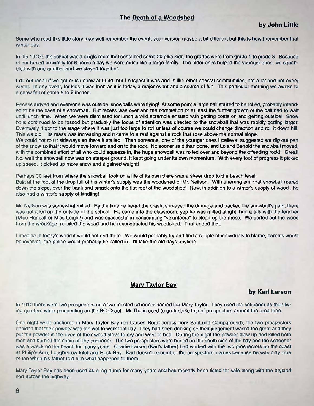#### **The Death of a Woodshed**

Some who read this little story may well remember the event, your version maybe a bit different but this is how I remember that winter day.

In the 1940's the school was a single room that contained some 20 plus kids, the grades were from grade 1 to grade 8. Because of our forced proximity for 6 hours a day we were much like a large family. The older ones helped the younger ones, we squabbled with one another and we played together.

I do not recall if we got much snow at Lund, but I suspect it was and is like other coastal communities, not a lot and not every winter. In any event, for kids it was then as it is today, a major event and a source of fun. This particular morning we awoke to a snow fall of some 5 to 6 inches.

Recess arrived and everyone was outside, snowballs were flying! At some point a large ball started to be rolled, probably intended to be the base of a snowman. But recess was over and the completion or at least the further growth of the ball had to wait until lunch time. When we were dismissed for lunch a wild scramble ensued with getting coats on and getting outside! Snow balls continued to be tossed but gradually the focus of attention was directed to the snowball that was rapidly getting larger. Eventually it got to the stage where it was just too large to roll unless of course we could change direction and roll it down hill. This we did. Its mass was increasing and it came to a rest against a rock that rose above the normal slope.

We could not roll it sideways so there it stalled. Then someone, one of the younger ones I believe, suggested we dig out part of the snow so that it would move forward and on to the rock. No sooner said than done, and Lo and Behold the snowball moved, with the combined effort of all who could squeeze in, the huge snowball was rolled over and beyond the offending rock! Great! No, wait the snowball now was on steeper ground, it kept going under its own momentum. With every foot of progress it picked up speed, it picked up more snow and it gained weight!

Perhaps 30 feet from where the snowball took on a life of its own there was a sheer drop to the beach level.

Built at the foot of the drop full of his winter's supply was the woodshed of Mr. Neilson. With unerring aim that snowball roared down the slope, over the bank and smack onto the flat roof of the woodshed! Now, in addition to a winters supply of wood , he also had a winter's supply of kindling!

Mr. Neilson was somewhat miffed. By the time he heard the crash, surveyed the damage and tracked the snowball's path, there was not a kid on the outside of the school. He came into the classroom, yep he was miffed alright, had a talk with the teacher (Miss Randall or Miss Leigh?) and was successful in conscripting "volunteers" to clean up the mess. We sorted out the wood from the wreckage, re-piled the wood and he reconstructed his woodshed. That ended that.

I imagine in today's world it would not end there. We would probably try and find a couple of individuals to blame, parents would be involved, the police would probably be called in. I'll take the old days anytime.

### **Mary Taylor Bay**

#### **by Karl Larson**

In 1910 there were two prospectors on a two masted schooner named the Mary Taylor. They used the schooner as their living quarters while prospecting on the BC Coast. Mr Thulin used to grub stake lots of prospectors around the area then.

One night while anchored in Mary Taylor Bay (on Larson Road across from SunLund Campground), the two prospectors decided that their powder was too wet to work that day. They had been drinking so their judgement wasn't too great and they put the powder in the oven of their wood stove to dry and went to bed. During the night the powder blew up and killed both men and burned the cabin off the schooner. The two prospectors were buried on the south side of the bay and the schooner was a wreck on the beach for many years. Charlie Larson (Karl's father) had worked with the two prospectors up the coast at Philip's Arm, Loughorrow Inlet and Rock Bay. Karl doesn't remember the prospectors' names because he was only nine or ten when his father told him what happened to them.

Mary Taylor Bay has been used as a log dump for many years and has recently been listed for sale along with the dryland sort across the highway.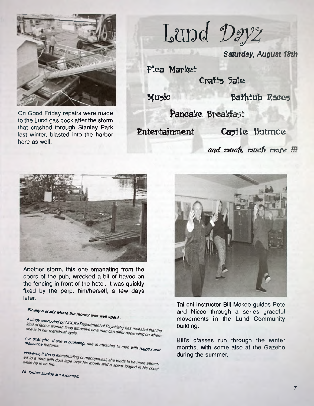

On Good Friday repairs were made **Pancake Breakfast** to the Lund gas dock after the storm that crashed through Stanley Park last winter, blasted into the harbor here as well.

Lupd Dayz

*Saturday, August 18th*

Flea Market

Craft<sub>5</sub> 5ale

**Music Bathtub Races** 

Entertainment Ca5tle Bounce

and much, much more **!!!** 



Another storm, this one emanating from the doors of the pub, wrecked a bit of havoc on the fencing in front of the hotel. It was quickly fixed by the perp. him/herself, a few days later.

#### *Finally a study what*

A study conducted by UCLA's Department of Psychiatry has revealed that the<br>kind of face a woman finds attractive on a man can differ depending on where **A** study conducts  $\mu$ she is in her menstrual cycle.

#### *For example*: *If she i*

masculine features. The is attracted to men with speed

*However, if she is menstruating or menopausal, she tends to be more attracted to a man with duct tape over his mouth and a spear lodged in his chest* 

*N° fUrther s^dies are expected.*



Tai chi instructor Bill Mckee guides Pete and Nicco through a series graceful movements in the Lund Community building.

Bill's classes run through the winter months, with some also at the Gazebo during the summer.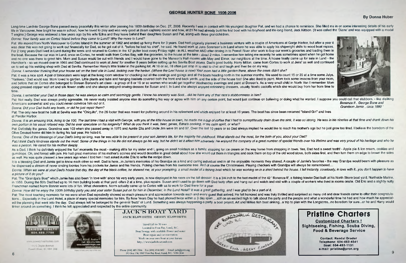#### **GEORGE HUNTER BONE 1906-2006**

#### **By Donna Huber**



- 
- 

Long time Lund-ite George Bone passed away peacefully this winter after passing his 100th birthday on Dec. 27, 2006. Recently I was in contact with his youngest daughter Pat, and we had a chance to reminisce. She filled me life in Vancouver, how bright he was in school, how he loved to play and was very good at (team captain) soccer and how, at 21 he had already built his first boat with his boyhood and life-long friend, Jack Kittson. (It wa T engine.) George was widowed a few years ago by his wife Edna and they leave behind their daughters Susan and Pat, along with three grandchildren.

*Donna: Your family was on Cortez Island before they came to Lund? Why the move to Lund?*

Pat: We moved from North Vancouver to Cortes Island in the summer of 1962 and ended up living there for 3 years. Dad had originally planned a business venture with a couple of Americans at Gorge Harbor, but after a year it was clear this was not going to work out financially for Dad, so he got out of it. "before he lost his shirt", he said. He found work at Jens Sorensen's in Lund where he was able to apply his shipwright skills to wood boat For 2 long years Dad lived in Lund during the week and retumed to Cortes in the 12' putter boat every Friday night - in ALL weather AND after driving in to Powell River after work to buy our week's groceries and loading th the boat. Because the car was in Lund, once on Cortes, he would walk from Cortes Bay, with the groceries, to the house at the lake - about 2 miles. I remember him telling me recently he was sometimes upset when he got home and no one was there to greet him. Mom and Susan would be out with friends and I would have gone to the Manson's Hall movies with May and Elmer, our neighbors at the time. A house finally came up for sale in Lund - the Hamilton's - so we moved over in 1965 and Dad continued to work at Jens' for another 5 years before setting up his Sevilla Boat Works. Dad's good buddy, Harry Milton, came from Cortes to work at Jens' as well and continued on to set up his welding shop with Dad at Sevilla. Remember Harry's little trailer in the parking lot. At 10 or so, I'd often just stop in to visit to chat and laugh and then be on my way.

*Donna: I remember thinking that your house sat on the best site in Lund, looking over the harbor. (Where the Levi house is now) Your mom had a little garden there, above the creek didn't she?* Pat: it was a nice spot. A pair of binoculars were kept at the living room window for checking out all the comings and goings and all the boats heading north in the summer months. We used to count 15 or 20 at a time some J 'Yankees,' Dad would say. Mom loved to garden. Little plants and tubs and hanging baskets covered both the front and back yards, and the side of the house too! She also liked to paint. Mom took some lessons from your mom, and before that on Cortes she belonged to Doreen Borland's art class - a group of 8 or 10 or so women who would get together Wednesday evenings and paint at Doreen's. As a very small child in North Van I remember Mom doing pressed copper wall art and silk flower crafts and she always enjoyed sewing dresses for Susan and I. In Lund she always enjoyed refinishing dressers, usually Noel's castoffs which she would buy from her from time to

Pat: The only new boat he built at Sevilla was the "Chiquito", the 26 footer that was meant for puttering around in his retirement and which enjoyed for at least 10 years. The boat has since been renamed "Island Girl" and at Pender Harbor.

Donna: It is an amazing trick, living to be 100. The last time I had a visit with George, with you at the little house in town, he made me a cup of coffee that I had to surreptitiously drain down the sink, it was so strong *own portion in his usual relaxed way. Did he ever speculate on his longevity? What do you think it was, beer, genes, Edna's cooking, or his calm spirit, or what?*

Pat: Definitely the genes. Grandma was 103 when she passed away in 1975 and Auntie Ella and Uncle Jim were 91 and 97. Over the last 10 years or so Dad always implied he would like to reach his mother's age but he just grew Olive Devaud home did him in during his last year. He hated it.

As a Dad, I think he definitely enjoyed the 'fun' moments the most - making stilts for my sister and I, going on small holidays as a family, stopping for ice cream on the way home from shopping in town. Yes, Dad had a swee gumdrops. Oh, and bread with jam. He had great memories of his mother's scones and would describe in great detail about how she would cut them in triangles and cook them on top of the old wood stove, both sides first, and as well. He was quite pleased a few years ago when I told him I had asked Auntie Ella to write the recipe down.

time.

It is a blessing Dad and Jamie got to know each other so well. Dad is here...in Jamie's memories of his Grandpa as a kind and caring individual and in all the enjoyable moments they shared. A couple of Jamie's favorites he dispensed a stream of never ending loonies from his pockets for Jamie and his friends. Picking cherries from his awesome tree. And of course the Christmases. Playing checkers with Grandpa will always be remembered.... Donna: When we were at your Dad's house that day, the day of the black coffee, he showed me, at your prompting, a small model of a fishing boat which he was working on in a shed behind the house. I fell instantly, covetous *a picture of it do you?*

*Donna: I remember your Dad in those days; he was always so calm and seemingly gentle. I know his ancestry was Scot....did he have any of that race's stubbornness in him?*

Pat: Not really. Dad was always pretty agreeable. He never really insisted anyone else do something his way or agree with him on any certain point, but would just continue on believing or doing what he wanted. I suppose yo Americans somewhat and you could never convince him out of it. *Bonanza II , George Bone and*<br>- Donna: Did your Dad huild any boats, or did he just renair them? **Bonanza I is a could help in the first of the intervals** the

*Donna: Did your Dad build any boats, or did he just repair them?* 

Pat: The "Grandpa's Boat" which Jamie has also been 'in love with' since his very early years, is now displayed in his room on the tall dresser. It is a 3/4 inch to the foot model of the 42 ' Bonanza II', a fishing trawler in 1958. During the 50's Dad had up to 14 men building boats at that yard -often 2 at a time, plus repairs. Susan and I used to go down with Dad fairly often and hang out and watch and visit with a couple of workers who li Frenchman named Norm Bonnie were lots of fun. What characters. Norm actually came up to Cortes with us to work for Dad there for a year.

*Donna: How did he enjoy the 100th birthday party you and your sister Susan put on for him in December, in the Lund Hotel? It was a great gathering, and I was glad to be a part of it.* 

Pat: The most touching moments for me were when Dad repeatedly showed so much pleasure and appreciation towards each and every quest that arrived. He felt honored and was truly thrilled and surprised so many old and dear f tions... Especially in the Lund Hotel, a place of many special memories for him. By New Years Day he had phoned twice within a 3 day span ....still on an excited high to talk about the party and the people and what a wonde ed the planning that went into the day. Dad always felt he belonged to the general 'buzz' of Lund. Something was always happening-a party, a boat project, Art and Millies fish boat sinking...a trip to plan with the Longacr tinker around on something. I think he felt appreciated and respected by the entire community.



www.powell.riverhomes.com AA/1 Joyce Avenue Pussell Hiver, BL V8A 3A8



# **J A C K ' S B O A T Y A R D JACK ELSWORTH GERRY ELSWORTH**

**Customized Charters! Sightseeing, Fishing, Scuba Diving, Food & Beverage Service**

*Donna: One of the blessings of your Dad's living so long, was he was able to be present in your son Jamie's life, for the majority his childhood. What stands out the most, for the both of you, about your Dad?* Pat:I think Dad's kindness stands out the most. Some of the things in his life did not always go his way, but he didn't let it affect him adversely. He enjoyed the company of a great number of special friends over his life *was a person. He cared for his mother deeply.*

**Travel Lift to 30 tons Located in Finn Bay, Lund,** B.C **Boat Storage with available Power and water Boat repair and/or renovation Work on your own boat at your leisure [http://www.](http://www) jacksboatyard.com**

**Phone (604) 483-3566 Fax (604) 414-0402 Email: [jack@prcn.org](mailto:jack@prcn.org) PO Box 138, 9907 Finn Bay Road, Lund, EC VON 2G0**



# **Pristine Charters**

**Contact: Randal Drader Telephone: 604-483-4541 Boat: 604-483-1131 e-mail: [pristine@prcn.org](mailto:pristine@prcn.org)**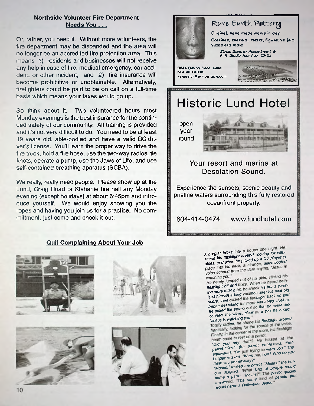#### **Northside Volunteer Fire Department Needs You . . .**

Or, rather, you need it. Without more volunteers, the fire department may be disbanded and the area will no longer be an accredited fire protection area. This means 1) residents and businesses will not receive any help in case of fire, medical emergency, car accident, or other incident, and 2) fire insurance will become prohibitive or unobtainable. Alternatively firefighters could be paid to be on call on a full-time basis which means your taxes would go up.

So think about it. Two volunteered hours most Monday evenings is the best insurance for the continued safety of our community. All training is provided and it's not very difficult to do. You need to be at least 19 years old, able-bodied and have a valid BC driver's license. You'll learn the proper way to drive the fire truck, hold a fire hose, use the two-way radios, tie knots, operate a pump, use the Jaws of Life, and use self-contained breathing aparatus (SCBA).

We really, really need people. Please show up at the Lund, Craig Road or Klahanie fire hall any Monday evening (except holidays) at about 6:45pm and introduce yourself. We would enjoy showing you the ropes and having you join us for a practice. No committment, just come and check it out.

#### **Quit Complaining About Your Job**











A burglar broke into a house one night. He shone his flashfight around, looking for valu-<br>ables, and when he picked up a CD player to<br>place into his sack, a strange, disembodied ables, and when he picked up a CD player to place into his sack, a strange, disembodied voice echoed from the dark saying, "Jesus is

watching you." flashlight off and froze. When his head, prom*ised himself a long vacation after his next big* ing more after a bit, he shoes after his next big score, then clicked the flashlight back on and began searching for more valuables. Just as he pulled the stereo out so that he could dis*connect the wires, clear as a bell he heard.*<br>"Jesus is watching you."

Totally rattled, he shone his flashlight around<br>*frantically, looking for the source of the voice.* Totally ratioshing for the source of the footh, is flashlight<br>Finally, in the corner of the room, his flashlight<br>Finally, in the corner of the room, his flashlight

Finally, in the corner of the<br>beam came to rest on a parrot. "Did you say that"? He hissed at the parrot."Yes," the parrot confessed, then squawked. I'm just trying to warn you.<sup>\*</sup> The **burglar relaxed.** Warn me, huh? Who do you

"Moses," replied the parrot. "Moses," the bur-*Moses:* replied the parrol *incover would glar laughed- parrot quickly* name a parrot Moses?<sup>\*</sup> The parrot quickly<br>answered. The same kind of people that would name a Rottweiler, Jesus.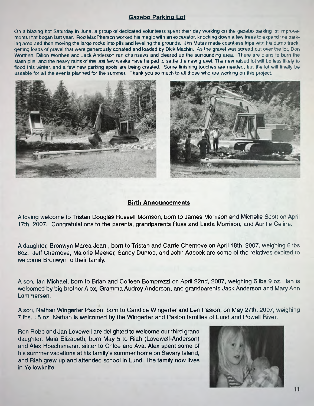### **Gazebo Parking Lot**

On a blazing hot Saturday in June, a group of dedicated volunteers spent their day working on the gazebo parking lot improvements that began last year. Rod MacPherson worked his magic with an excavator, knocking down a few trees to expand the parking area and then moving the large rocks into pits and leveling the grounds. Jim Mutas made countless trips with his dump truck, getting loads of gravel that were generously donated and loaded by Dick Machin. As the gravel was spread out over the lot, Don Worthen, Dillon Worthen and Jack Anderson ran chainsaws and cleared up the surrounding area. There are plans to bum the slash pile, and the heavy rains of the last few weeks have helped to settle the new gravel. The new raised lot will be less likely to flood this winter, and a few new parking spots are being created. Some finishing touches are needed, but the lot will finally be useable for all the events planned for the summer. Thank you so much to all those who are working on this project.





#### **Birth Announcements**

A loving welcome to Tristan Douglas Russell Morrison, born to James Morrison and Michelle Scott on April 17th, 2007. Congratulations to the parents, grandparents Russ and Linda Morrison, and Auntie Celine.

A daughter, Bronwyn Marea Jean , born to Tristan and Carrie Chernove on April 18th, 2007, weighing 6 lbs 6oz. Jeff Chernove, Malorie Meeker, Sandy Dunlop, and John Adcock are some of the relatives excited to welcome Bronwyn to their family.

A son, Ian Michael, born to Brian and Colleen Bomprezzi on April 22nd, 2007, weighing 6 lbs 9 oz. Ian is welcomed by big brother Alex, Gramma Audrey Anderson, and grandparents Jack Anderson and Mary Ann Lammersen.

A son, Nathan Wingerter Pasion, born to Candice Wingerter and Len Pasion, on May 27th, 2007, weighing 7 lbs. 15 oz. Nathan is welcomed by the Wingerter and Pasion families of Lund and Powell River.

Ron Robb and Jan Lovewell are delighted to welcome our third grand daughter, Maia Elizabeth, born May 5 to Riah (Lovewell-Anderson) and Alex Hoechsmann, sister to Chloe and Ava. Alex spent some of his summer vacations at his family's summer home on Savary Island, and Riah grew up and attended school in Lund. The family now lives in Yellowknife.

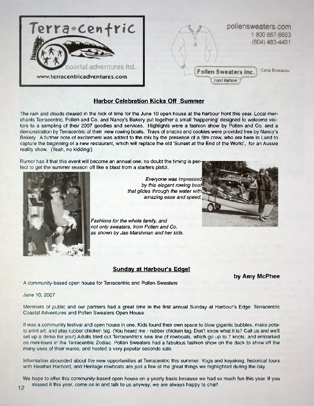

#### **Harbor Celebration Kicks Off Summer**

The rain and clouds cleared in the nick of time for the June 10 open house at the harbour front this year. Local merchants Terracentric, Pollen and Co. and Nancy's Bakery put together a small 'happening' designed to welcome visitors to a sampling of their 2007 goodies and services. Highlights were a fashion show by Pollen and Co, and a demonstration by Terracentric of their new rowing boats. Trays of snacks and cookies were provided free by Nancy's Bakery. A further note of excitement was added to the mix by the presence of a film crew, who are here in Lund to capture the beginning of a new restaurant, which will replace the old 'Sunset at the End of the World', for an Aussie reality show. (Yeah, no kidding!)

Rumor has it that this event will become an annual one; no doubt the timing is perfect to get the summer season oft like a blast from a starters pistol.



*Everyone was by this elegant rowing that glides through the water amazing ease and speed.*

*Fashions for the whole family, and not only sweaters, from Pollen and Co. as shown by Jas Marshman and her kids.*

#### **Sunday at Harbour's Edge!**

**by Amy McPhee**

A community-based open house for Terracentric and Pollen Sweaters

June 10, 2007

Members of public and our partners had a great time in the first annual Sunday at Harbours Edge: Terracentric Coastal Adventures and Pollen Sweaters Open House.

It was a community festival and open house in one. Kids found their own space to blow gigantic bubbles, make potato print art, and play rubber chicken tag. (You heard me - rubber chicken tag. Don't know what it is? Call us and we'll set up a demo for you!) Adults tried out Terracentric's new line of rowboats, which go up to 7 knots, and embarked on mini-tours in the Terracentric Zodiac. Pollen Sweaters had a fabulous fashion show on the deck to show off the many uses of their wares, and hosted a very popular seconds sale.

Information abounded about the new opportunities at Terracentric this summer. Yoga and kayaking, historical tours with Heather Harbord, and Heritage rowboats are just a few of the great things we highlighted during the day

We hope to offer this community-based open house on a yearly basis because we had so much tun this year. If you i2 missed it this year, come on in and talk to us anyway; we are always happy to chat!

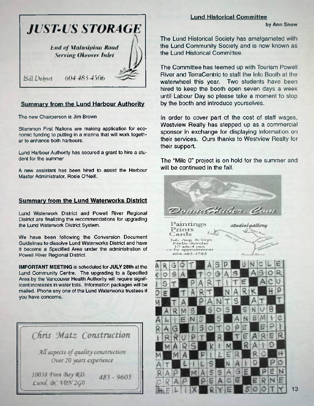

#### **Summary from the Lund Harbour Authority**

The new Chairperson is Jim Brown

Sliammon First Nations are making application for economic funding to putting in a marina that will work together to enhance both harbours.

Lund Harbour Authority has secured a grant to hire a student for the summer

A new assistant has been hired to assist the Harbour Master Administrator, Rosie O'Neill.

#### **Summary from the Lund Waterworks District**

Lund Waterwork District and Powell River Regional District are finalizing the recommendations for upgrading the Lund Waterwork District System.

We have been following the Conversion Document Guidelines to dissolve Lund Waterworks District and have it become a Specified Area under the administration of Powell River Regional District.

**IMPORTANT MEETING** is scheduled for JULY 28th at the Lund Community Centre. The upgrading to a Specified Area by the Vancouver Health Authority will require significant increases in water tolls. Information packages will be mailed. Phone any one of the Lund Waterworks trustees if you have concerns.

|                                                                 |  |                                        |  | Chris Matz Construction |  |
|-----------------------------------------------------------------|--|----------------------------------------|--|-------------------------|--|
| All aspects of quality construction<br>Over 20 years experience |  |                                        |  |                         |  |
|                                                                 |  | 10038 Finn Bay RD.<br>Lund, BC VON 2GO |  | $483 - 9605$            |  |

#### **Lund Historical Committee**

**by Ann Snow**

The Lund Historical Society has amalgamated with the Lund Community Society and is now known as the Lund Historical Committee.

The Committee has teemed up with Tourism Powell River and TerraCentric to staff the Info Booth at the waterwheel this year. Two students have been hired to keep the booth open seven days a week until Labour Day so please take a moment to stop by the booth and introduce yourselves.

In order to cover part of the cost of staff wages, Westview Realty has stepped up as a commercial sponsor in exchange for displaying information on their services. Ours thanks to Westview Realty for their support.

The "Mile 0" project is on hold for the summer and will be continued in the fall.

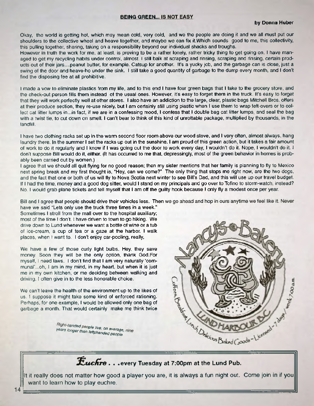#### **BEING GREEN... IS NOT EASY**

Okay, the world is getting hot, which may mean cold, very cold, and we the people are doing it and we all must put our shoulders to the collective wheel and heave together, and maybe we can fix it. Which sounds good to me, this collectivity, this pulling together, sharing, taking on a responsibility beyond our individual shacks and troughs.

However in truth the work for me, at least, is proving to be a rather lonely rather tricky thing to get going on. I have managed to get my recycling habits under control, almost. I still balk at scraping and rinsing, scraping and rinsing, certain products out of their jars....peanut butter, for example. Catsup for another. It's a yucky job, and the garbage can is close, just a swing of the door and heave-ho under the sink. I still take a good quantity of garbage to the dump every month, and I don't find the disposing fee at all prohibitive.

I made a vow to eliminate plastics from my life, and to this end I have four green bags that I take to the grocery store, and the check-out person fills them instead of the usual ones. However it's easy to forget them in the truck. It's easy to forget that they will work perfectly well at other stores. I also have an addiction to the large, clear, plastic bags Mitchell Bros, offers at their produce section, they re-use nicely, but I am certainly still using plastic when I use them to wrap left-overs or to collect cat litter lumps in...in fact, if we are in a confessing mood, I confess that I double bag cat litter lumps, and seal the bag with a twist tie, to cut down on smell. I can't bear to think of this kind of unrottable package, multiplied by thousands, in the landfill.

I have two clothing racks set up in the warm second floor room above our wood stove, and I very often, almost always, hang laundry there. In the summer I set the racks up out in the sunshine. I am proud of this green action, but it takes a fair amount of work to do it regularly and I know if I was going out the door to work every day, I wouldn't do it. Nope, I wouldn't do it. I don't suppose Bill would do it, either. (It has occurred to me that, depressingly most of the green behavior in homes is probably been carried out by women.)

I agree that we should all quit flying for no good reason; then my sister mentions that her family is planning to fly to Mexico next spring break and my first thought is, "Hey, can we come?" The only thing that stops me right now, are the two dogs, and the fact that one or both of us will fly to Nova Scotia next winter to see Bill's Dad, and this will use up our travel budget. If I had the time, money and a good dog sitter, would I stand on my principals and go over to Tofino to storm-watch, instead? No. I would grab plane tickets and tell myself that I am off the guilty hook because I only fly a modest once per year.

Bill and I agree that people should drive their vehicles less. Then we go ahead and hop in ours anytime we feel like it. Never have we said "Lets only use the truck three times in a week."

Sometimes I stroll from the mall over to the hospital auxiliary; most of the time I don't. I have driven to town to go hiking. We drive down to Lund whenever we want a bottle of wine or a tub of ice-cream, a cup of tea or a gaze at the harbor. I walk places, when I want to. I don't enjoy car-pooling, really,

We have a few of those curly light bulbs. Hey, they save money. Soon they will be the only option, thank God.For myself, I need laws. I don't find that I am very naturally 'communal'...oh, I am in my mind, in my heart, but when it is just me in my own kitchen, or me deciding between walking and driving, I often give in to the less honorable choice.

We can't leave the health of the environment up to the likes of us. I suppose it might take some kind of enforced rationing. Perhaps, for one example, I would be allowed only one bag of garbage a month. That would certainly make me think twice

Right-handed people live, on average, nine<br>years longer than leftphanded people.



*tic fir e* **. . .every Tuesday at 7:00pm at the Lund Pub.**

It it really does not matter how good a player you are, it is always a fun night out. Come join in if you want to leam how to play euchre.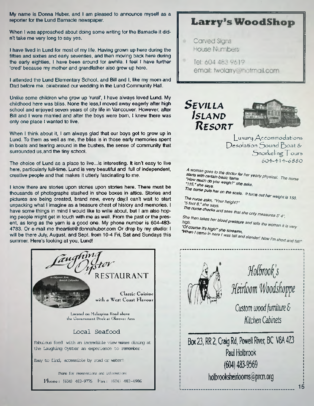My name is Donna Huber, and I am pleased to announce myself as a reporter for the Lund Barnacle newspaper

When I was approached about doing some writing for the Barnacle it didn't take me very long to say yes.

I have lived in Lund for most of my life. Having grown up here during the fifties and sixties and early seventies, and then moving back here during the early eighties, I have been around for awhile. I feel I have further 'cred' because my mother and grandfather also grew up here.

I attended the Lund Elementary School, and Bill and I, like my mom and Dad before me, celebrated our wedding in the Lund Community Hall.

Unlike some children who grow up 'rural', I have always loved Lund. My childhood here was bliss. None the less, I moved away eagerly after high school and enjoyed seven years of city life in Vancouver. However, after Bill and I were married and after the boys were born, I knew there was only one place I wanted to live.

When I think about it, I am always glad that our boys got to grow up in Lund. To them as well as me, the bliss is in those early memories spent in boats and tearing around in the bushes, the sense of community that surrounded us,and the tiny school.

The choice of Lund as a place to live... is interesting. It isn't easy to live here, particularly full-time. Lund is very beautiful and full of independent, creative people and that makes it utterly fascinating to me.

I know there are stories upon stories upon stories here. There must be thousands of photographs stashed in shoe boxes in attics. Stories and pictures are being created, brand new, every day.I can't wait to start unpacking what I imagine as a treasure chest of history and memories. I have some things in mind I would like to write about, but I am also hoping people might get in touch with me as well. From the past or the present, as long as the yarn is a good one. My phone number is 604-483- 4783. Or e-mail me [theartist@donnahuber.com](mailto:theartist@donnahuber.com) Or drop by my studio: I will be there July, August, and Sept. from 10-4 Fri, Sat and Sundays this summer. Here's looking at you, Lund!



# **L arry's WoodSHop**

- Carved Signs House Numbers
	- Tel: 604 483 9619 email: twolarry@hotmail.com

 $S$  *EVILLA <sup>I</sup> s l a m d <sup>R</sup> e s o u t*



**L u x u ry / \ ccorr,m o d atio n s** Desolation Sound Boat & Snorkeling Tours oOe-~+ *\+ ~ 6 8 8 0*

,4 i *Solution Solution* by *casic items ' 1 1 5 /lh lSg°syou we'9h?"she asks. The nurse puts her on the scale, If flue* 

*The nurse asks "Your belation"* "5 foot 8," she says.<br>The nurse checks and sees that she only measures 5' 4".

She then takes her blood pressure and tells the woman it is very<br>high,<br>"Of course it's high!" she screams,<br>"When I came in here I was tall and slender! Now I'm short and fat!"



*Holbrook*'s Heirloom Woodshoppe

*Custom wood furniture 6 Kitchen Cabineb*

Box 23, RR 2, Craig Rd, Powell River, BC V8A 4Z3 Paul Holbrook (604)483-9569 [holbrooksheirlooms@prcn.org](mailto:holbrooksheirlooms@prcn.org)